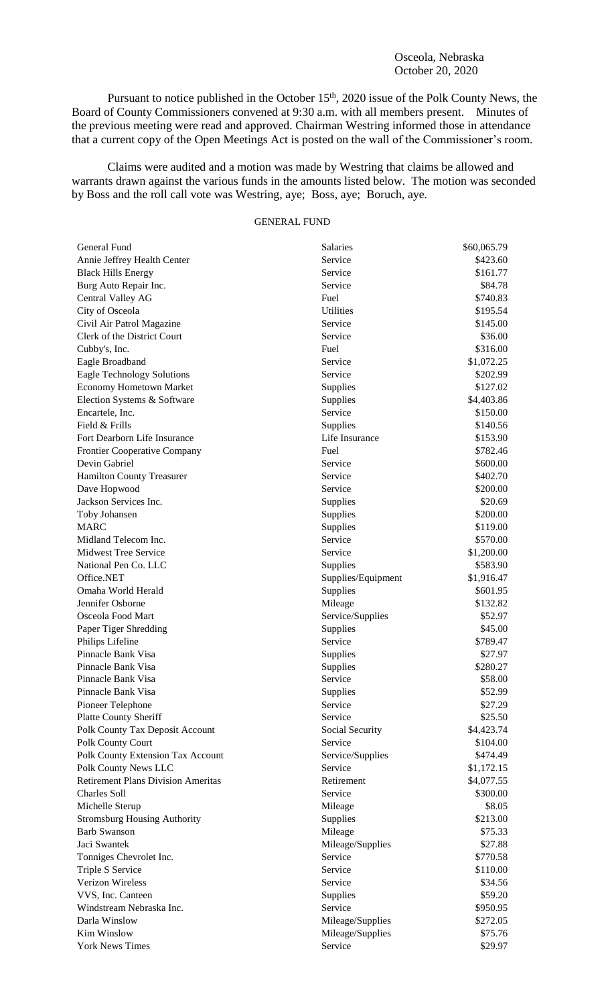## Osceola, Nebraska October 20, 2020

Pursuant to notice published in the October 15<sup>th</sup>, 2020 issue of the Polk County News, the Board of County Commissioners convened at 9:30 a.m. with all members present. Minutes of the previous meeting were read and approved. Chairman Westring informed those in attendance that a current copy of the Open Meetings Act is posted on the wall of the Commissioner's room.

Claims were audited and a motion was made by Westring that claims be allowed and warrants drawn against the various funds in the amounts listed below. The motion was seconded by Boss and the roll call vote was Westring, aye; Boss, aye; Boruch, aye.

## GENERAL FUND

| General Fund                              | Salaries                    | \$60,065.79 |
|-------------------------------------------|-----------------------------|-------------|
| Annie Jeffrey Health Center               | Service                     | \$423.60    |
| <b>Black Hills Energy</b>                 | Service                     | \$161.77    |
| Burg Auto Repair Inc.                     | Service                     | \$84.78     |
| Central Valley AG                         | Fuel                        | \$740.83    |
| City of Osceola                           | Utilities                   | \$195.54    |
| Civil Air Patrol Magazine                 | Service                     | \$145.00    |
| Clerk of the District Court               | Service                     | \$36.00     |
| Cubby's, Inc.                             | Fuel                        | \$316.00    |
| Eagle Broadband                           | Service                     | \$1,072.25  |
| <b>Eagle Technology Solutions</b>         | Service                     | \$202.99    |
| <b>Economy Hometown Market</b>            | Supplies                    | \$127.02    |
| Election Systems & Software               | Supplies                    | \$4,403.86  |
| Encartele, Inc.                           | Service                     | \$150.00    |
| Field & Frills                            | Supplies                    | \$140.56    |
| Fort Dearborn Life Insurance              | Life Insurance              | \$153.90    |
| <b>Frontier Cooperative Company</b>       | Fuel                        | \$782.46    |
| Devin Gabriel                             | Service                     | \$600.00    |
| <b>Hamilton County Treasurer</b>          | Service                     | \$402.70    |
| Dave Hopwood                              | Service                     | \$200.00    |
| Jackson Services Inc.                     | Supplies                    | \$20.69     |
| Toby Johansen                             | Supplies                    | \$200.00    |
| <b>MARC</b>                               | Supplies                    | \$119.00    |
| Midland Telecom Inc.                      | Service                     | \$570.00    |
| <b>Midwest Tree Service</b>               | Service                     | \$1,200.00  |
| National Pen Co. LLC                      | Supplies                    | \$583.90    |
| Office.NET                                | Supplies/Equipment          | \$1,916.47  |
| Omaha World Herald                        | Supplies                    | \$601.95    |
| Jennifer Osborne                          | Mileage                     | \$132.82    |
| Osceola Food Mart                         | Service/Supplies            | \$52.97     |
| Paper Tiger Shredding                     | Supplies                    | \$45.00     |
| Philips Lifeline                          | Service                     | \$789.47    |
| Pinnacle Bank Visa                        | Supplies                    | \$27.97     |
| Pinnacle Bank Visa                        | Supplies                    | \$280.27    |
| Pinnacle Bank Visa                        | Service                     | \$58.00     |
| Pinnacle Bank Visa                        | Supplies                    | \$52.99     |
| Pioneer Telephone                         | Service                     | \$27.29     |
| <b>Platte County Sheriff</b>              | Service                     | \$25.50     |
| Polk County Tax Deposit Account           | Social Security             | \$4,423.74  |
| Polk County Court                         | Service                     | \$104.00    |
| Polk County Extension Tax Account         | Service/Supplies            | \$474.49    |
| Polk County News LLC                      | Service                     | \$1,172.15  |
| <b>Retirement Plans Division Ameritas</b> | Retirement                  | \$4,077.55  |
| <b>Charles Soll</b>                       | Service                     | \$300.00    |
| Michelle Sterup                           | Mileage                     | \$8.05      |
| <b>Stromsburg Housing Authority</b>       | Supplies                    | \$213.00    |
| <b>Barb Swanson</b>                       | Mileage                     | \$75.33     |
| Jaci Swantek                              |                             | \$27.88     |
|                                           | Mileage/Supplies<br>Service | \$770.58    |
| Tonniges Chevrolet Inc.                   |                             |             |
| Triple S Service                          | Service                     | \$110.00    |
| <b>Verizon Wireless</b>                   | Service                     | \$34.56     |
| VVS, Inc. Canteen                         | Supplies                    | \$59.20     |
| Windstream Nebraska Inc.                  | Service                     | \$950.95    |
| Darla Winslow                             | Mileage/Supplies            | \$272.05    |
| Kim Winslow                               | Mileage/Supplies            | \$75.76     |
| <b>York News Times</b>                    | Service                     | \$29.97     |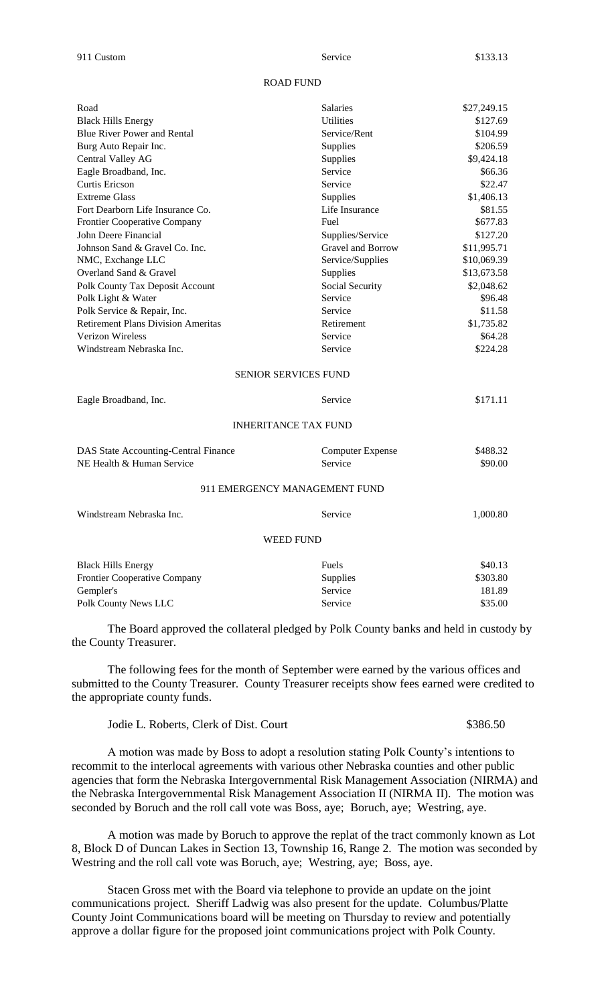## ROAD FUND

| Road                                      | Salaries                      | \$27,249.15 |
|-------------------------------------------|-------------------------------|-------------|
| <b>Black Hills Energy</b>                 | <b>Utilities</b>              | \$127.69    |
| <b>Blue River Power and Rental</b>        | Service/Rent                  | \$104.99    |
| Burg Auto Repair Inc.                     | Supplies                      | \$206.59    |
| Central Valley AG                         | Supplies                      | \$9,424.18  |
| Eagle Broadband, Inc.                     | Service                       | \$66.36     |
| Curtis Ericson                            | Service                       | \$22.47     |
| <b>Extreme Glass</b>                      | Supplies                      | \$1,406.13  |
| Fort Dearborn Life Insurance Co.          | Life Insurance                | \$81.55     |
| Frontier Cooperative Company              | Fuel                          | \$677.83    |
| John Deere Financial                      | Supplies/Service              | \$127.20    |
| Johnson Sand & Gravel Co. Inc.            | Gravel and Borrow             | \$11,995.71 |
| NMC, Exchange LLC                         | Service/Supplies              | \$10,069.39 |
| Overland Sand & Gravel                    | Supplies                      | \$13,673.58 |
| Polk County Tax Deposit Account           | Social Security               | \$2,048.62  |
| Polk Light & Water                        | Service                       | \$96.48     |
| Polk Service & Repair, Inc.               | Service                       | \$11.58     |
| <b>Retirement Plans Division Ameritas</b> | Retirement                    | \$1,735.82  |
| Verizon Wireless                          | Service                       | \$64.28     |
| Windstream Nebraska Inc.                  | Service                       | \$224.28    |
|                                           | SENIOR SERVICES FUND          |             |
| Eagle Broadband, Inc.                     | Service                       | \$171.11    |
|                                           | <b>INHERITANCE TAX FUND</b>   |             |
| DAS State Accounting-Central Finance      | <b>Computer Expense</b>       | \$488.32    |
| NE Health & Human Service                 | Service                       | \$90.00     |
|                                           | 911 EMERGENCY MANAGEMENT FUND |             |
| Windstream Nebraska Inc.                  | Service                       | 1,000.80    |
|                                           | <b>WEED FUND</b>              |             |
|                                           |                               |             |
| <b>Black Hills Energy</b>                 | Fuels                         | \$40.13     |
| Frontier Cooperative Company              | Supplies                      | \$303.80    |
| Gempler's                                 | Service                       | 181.89      |

The Board approved the collateral pledged by Polk County banks and held in custody by the County Treasurer.

Polk County News LLC Service \$35.00

The following fees for the month of September were earned by the various offices and submitted to the County Treasurer. County Treasurer receipts show fees earned were credited to the appropriate county funds.

| \$386.50<br>Jodie L. Roberts, Clerk of Dist. Court |
|----------------------------------------------------|
|----------------------------------------------------|

A motion was made by Boss to adopt a resolution stating Polk County's intentions to recommit to the interlocal agreements with various other Nebraska counties and other public agencies that form the Nebraska Intergovernmental Risk Management Association (NIRMA) and the Nebraska Intergovernmental Risk Management Association II (NIRMA II). The motion was seconded by Boruch and the roll call vote was Boss, aye; Boruch, aye; Westring, aye.

A motion was made by Boruch to approve the replat of the tract commonly known as Lot 8, Block D of Duncan Lakes in Section 13, Township 16, Range 2. The motion was seconded by Westring and the roll call vote was Boruch, aye; Westring, aye; Boss, aye.

Stacen Gross met with the Board via telephone to provide an update on the joint communications project. Sheriff Ladwig was also present for the update. Columbus/Platte County Joint Communications board will be meeting on Thursday to review and potentially approve a dollar figure for the proposed joint communications project with Polk County.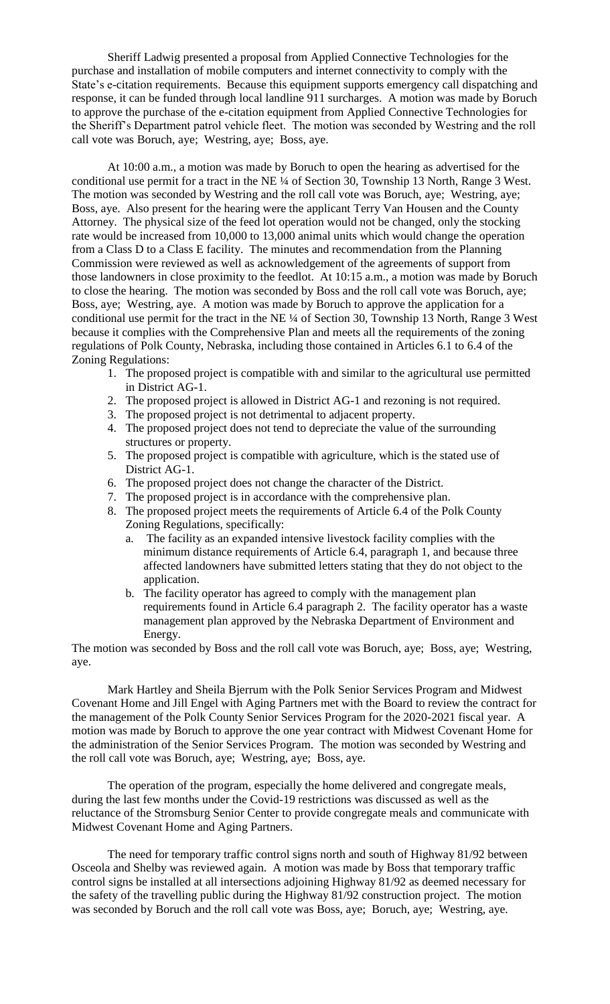Sheriff Ladwig presented a proposal from Applied Connective Technologies for the purchase and installation of mobile computers and internet connectivity to comply with the State's e-citation requirements. Because this equipment supports emergency call dispatching and response, it can be funded through local landline 911 surcharges. A motion was made by Boruch to approve the purchase of the e-citation equipment from Applied Connective Technologies for the Sheriff's Department patrol vehicle fleet. The motion was seconded by Westring and the roll call vote was Boruch, aye; Westring, aye; Boss, aye.

At 10:00 a.m., a motion was made by Boruch to open the hearing as advertised for the conditional use permit for a tract in the NE ¼ of Section 30, Township 13 North, Range 3 West. The motion was seconded by Westring and the roll call vote was Boruch, aye; Westring, aye; Boss, aye. Also present for the hearing were the applicant Terry Van Housen and the County Attorney. The physical size of the feed lot operation would not be changed, only the stocking rate would be increased from 10,000 to 13,000 animal units which would change the operation from a Class D to a Class E facility. The minutes and recommendation from the Planning Commission were reviewed as well as acknowledgement of the agreements of support from those landowners in close proximity to the feedlot. At 10:15 a.m., a motion was made by Boruch to close the hearing. The motion was seconded by Boss and the roll call vote was Boruch, aye; Boss, aye; Westring, aye. A motion was made by Boruch to approve the application for a conditional use permit for the tract in the NE ¼ of Section 30, Township 13 North, Range 3 West because it complies with the Comprehensive Plan and meets all the requirements of the zoning regulations of Polk County, Nebraska, including those contained in Articles 6.1 to 6.4 of the Zoning Regulations:

- 1. The proposed project is compatible with and similar to the agricultural use permitted in District AG-1.
- 2. The proposed project is allowed in District AG-1 and rezoning is not required.
- 3. The proposed project is not detrimental to adjacent property.
- 4. The proposed project does not tend to depreciate the value of the surrounding structures or property.
- 5. The proposed project is compatible with agriculture, which is the stated use of District AG-1.
- 6. The proposed project does not change the character of the District.
- 7. The proposed project is in accordance with the comprehensive plan.
- 8. The proposed project meets the requirements of Article 6.4 of the Polk County Zoning Regulations, specifically:
	- a. The facility as an expanded intensive livestock facility complies with the minimum distance requirements of Article 6.4, paragraph 1, and because three affected landowners have submitted letters stating that they do not object to the application.
	- b. The facility operator has agreed to comply with the management plan requirements found in Article 6.4 paragraph 2. The facility operator has a waste management plan approved by the Nebraska Department of Environment and Energy.

The motion was seconded by Boss and the roll call vote was Boruch, aye; Boss, aye; Westring, aye.

Mark Hartley and Sheila Bjerrum with the Polk Senior Services Program and Midwest Covenant Home and Jill Engel with Aging Partners met with the Board to review the contract for the management of the Polk County Senior Services Program for the 2020-2021 fiscal year. A motion was made by Boruch to approve the one year contract with Midwest Covenant Home for the administration of the Senior Services Program. The motion was seconded by Westring and the roll call vote was Boruch, aye; Westring, aye; Boss, aye.

The operation of the program, especially the home delivered and congregate meals, during the last few months under the Covid-19 restrictions was discussed as well as the reluctance of the Stromsburg Senior Center to provide congregate meals and communicate with Midwest Covenant Home and Aging Partners.

The need for temporary traffic control signs north and south of Highway 81/92 between Osceola and Shelby was reviewed again. A motion was made by Boss that temporary traffic control signs be installed at all intersections adjoining Highway 81/92 as deemed necessary for the safety of the travelling public during the Highway 81/92 construction project. The motion was seconded by Boruch and the roll call vote was Boss, aye; Boruch, aye; Westring, aye.